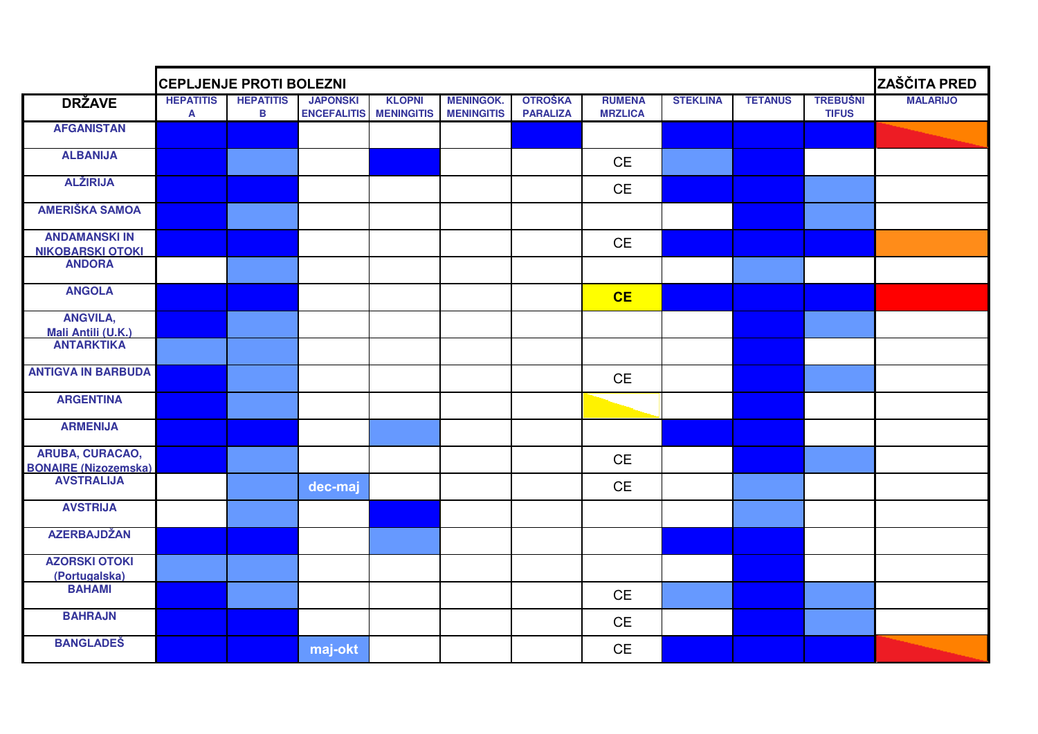|                                                       | <b>CEPLJENJE PROTI BOLEZNI</b><br><b>HEPATITIS</b><br><b>KLOPNI</b><br><b>HEPATITIS</b><br><b>JAPONSKI</b><br><b>MENINGOK.</b><br><b>OTROŠKA</b><br><b>RUMENA</b><br><b>STEKLINA</b><br><b>TETANUS</b> |   |                    |                   |                   |                 |                |  |  |                                 |                 |  |
|-------------------------------------------------------|--------------------------------------------------------------------------------------------------------------------------------------------------------------------------------------------------------|---|--------------------|-------------------|-------------------|-----------------|----------------|--|--|---------------------------------|-----------------|--|
| <b>DRŽAVE</b>                                         | $\mathbf{A}$                                                                                                                                                                                           | В | <b>ENCEFALITIS</b> | <b>MENINGITIS</b> | <b>MENINGITIS</b> | <b>PARALIZA</b> | <b>MRZLICA</b> |  |  | <b>TREBUŚNI</b><br><b>TIFUS</b> | <b>MALARIJO</b> |  |
| <b>AFGANISTAN</b>                                     |                                                                                                                                                                                                        |   |                    |                   |                   |                 |                |  |  |                                 |                 |  |
| <b>ALBANIJA</b>                                       |                                                                                                                                                                                                        |   |                    |                   |                   |                 | <b>CE</b>      |  |  |                                 |                 |  |
| <b>ALŽIRIJA</b>                                       |                                                                                                                                                                                                        |   |                    |                   |                   |                 | CE             |  |  |                                 |                 |  |
| <b>AMERIŠKA SAMOA</b>                                 |                                                                                                                                                                                                        |   |                    |                   |                   |                 |                |  |  |                                 |                 |  |
| <b>ANDAMANSKI IN</b><br><b>NIKOBARSKI OTOKI</b>       |                                                                                                                                                                                                        |   |                    |                   |                   |                 | <b>CE</b>      |  |  |                                 |                 |  |
| <b>ANDORA</b>                                         |                                                                                                                                                                                                        |   |                    |                   |                   |                 |                |  |  |                                 |                 |  |
| <b>ANGOLA</b>                                         |                                                                                                                                                                                                        |   |                    |                   |                   |                 | CE             |  |  |                                 |                 |  |
| <b>ANGVILA,</b><br>Mali Antili (U.K.)                 |                                                                                                                                                                                                        |   |                    |                   |                   |                 |                |  |  |                                 |                 |  |
| <b>ANTARKTIKA</b>                                     |                                                                                                                                                                                                        |   |                    |                   |                   |                 |                |  |  |                                 |                 |  |
| <b>ANTIGVA IN BARBUDA</b>                             |                                                                                                                                                                                                        |   |                    |                   |                   |                 | <b>CE</b>      |  |  |                                 |                 |  |
| <b>ARGENTINA</b>                                      |                                                                                                                                                                                                        |   |                    |                   |                   |                 |                |  |  |                                 |                 |  |
| <b>ARMENIJA</b>                                       |                                                                                                                                                                                                        |   |                    |                   |                   |                 |                |  |  |                                 |                 |  |
| <b>ARUBA, CURACAO,</b><br><b>BONAIRE (Nizozemska)</b> |                                                                                                                                                                                                        |   |                    |                   |                   |                 | <b>CE</b>      |  |  |                                 |                 |  |
| <b>AVSTRALIJA</b>                                     |                                                                                                                                                                                                        |   | dec-maj            |                   |                   |                 | <b>CE</b>      |  |  |                                 |                 |  |
| <b>AVSTRIJA</b>                                       |                                                                                                                                                                                                        |   |                    |                   |                   |                 |                |  |  |                                 |                 |  |
| <b>AZERBAJDŽAN</b>                                    |                                                                                                                                                                                                        |   |                    |                   |                   |                 |                |  |  |                                 |                 |  |
| <b>AZORSKI OTOKI</b><br>(Portugalska)                 |                                                                                                                                                                                                        |   |                    |                   |                   |                 |                |  |  |                                 |                 |  |
| <b>BAHAMI</b>                                         |                                                                                                                                                                                                        |   |                    |                   |                   |                 | <b>CE</b>      |  |  |                                 |                 |  |
| <b>BAHRAJN</b>                                        |                                                                                                                                                                                                        |   |                    |                   |                   |                 | CE             |  |  |                                 |                 |  |
| <b>BANGLADES</b>                                      |                                                                                                                                                                                                        |   | maj-okt            |                   |                   |                 | <b>CE</b>      |  |  |                                 |                 |  |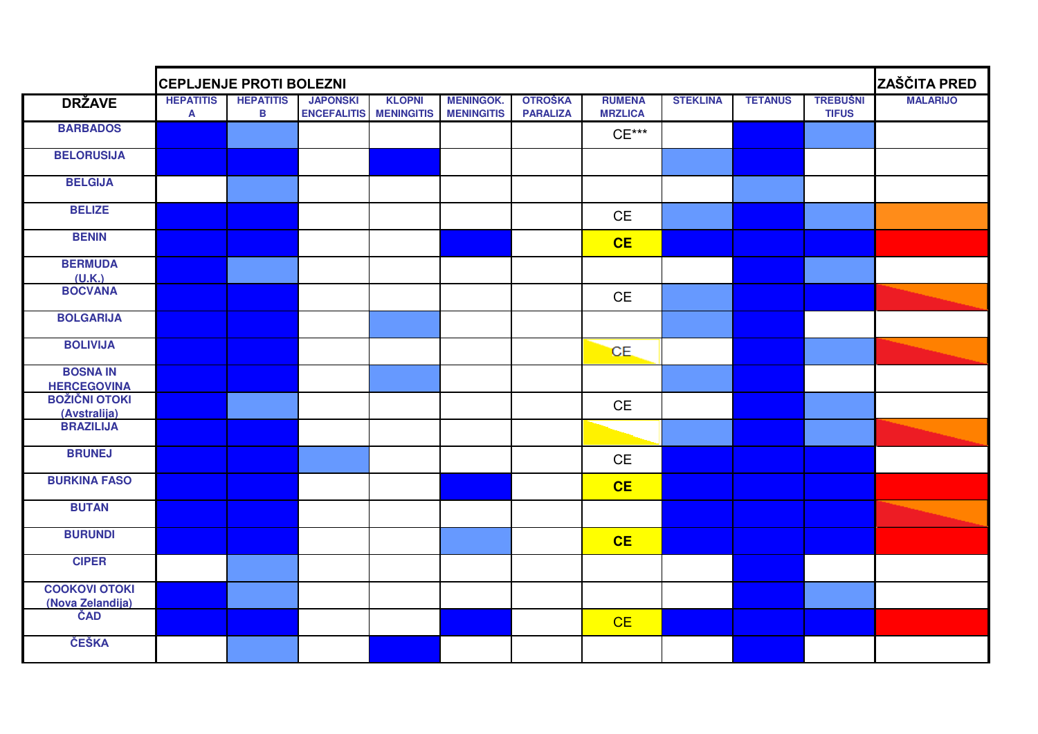|                                          | <b>CEPLJENJE PROTI BOLEZNI</b> |                                  |                                       |                                    |                                       |                                   |                                             |                 |                |                                 |                 |
|------------------------------------------|--------------------------------|----------------------------------|---------------------------------------|------------------------------------|---------------------------------------|-----------------------------------|---------------------------------------------|-----------------|----------------|---------------------------------|-----------------|
| <b>DRŽAVE</b>                            | <b>HEPATITIS</b><br>A          | <b>HEPATITIS</b><br>$\, {\bf B}$ | <b>JAPONSKI</b><br><b>ENCEFALITIS</b> | <b>KLOPNI</b><br><b>MENINGITIS</b> | <b>MENINGOK.</b><br><b>MENINGITIS</b> | <b>OTROŠKA</b><br><b>PARALIZA</b> | <b>RUMENA</b><br><b>MRZLICA</b>             | <b>STEKLINA</b> | <b>TETANUS</b> | <b>TREBUŠNI</b><br><b>TIFUS</b> | <b>MALARIJO</b> |
| <b>BARBADOS</b>                          |                                |                                  |                                       |                                    |                                       |                                   | $CE***$                                     |                 |                |                                 |                 |
| <b>BELORUSIJA</b>                        |                                |                                  |                                       |                                    |                                       |                                   |                                             |                 |                |                                 |                 |
| <b>BELGIJA</b>                           |                                |                                  |                                       |                                    |                                       |                                   |                                             |                 |                |                                 |                 |
| <b>BELIZE</b>                            |                                |                                  |                                       |                                    |                                       |                                   | $\mathsf{CE}% _{\mathsf{CE}}^{\mathsf{CE}}$ |                 |                |                                 |                 |
| <b>BENIN</b>                             |                                |                                  |                                       |                                    |                                       |                                   | CE                                          |                 |                |                                 |                 |
| <b>BERMUDA</b><br>(U.K.)                 |                                |                                  |                                       |                                    |                                       |                                   |                                             |                 |                |                                 |                 |
| <b>BOCVANA</b>                           |                                |                                  |                                       |                                    |                                       |                                   | <b>CE</b>                                   |                 |                |                                 |                 |
| <b>BOLGARIJA</b>                         |                                |                                  |                                       |                                    |                                       |                                   |                                             |                 |                |                                 |                 |
| <b>BOLIVIJA</b>                          |                                |                                  |                                       |                                    |                                       |                                   | CE.                                         |                 |                |                                 |                 |
| <b>BOSNA IN</b><br><b>HERCEGOVINA</b>    |                                |                                  |                                       |                                    |                                       |                                   |                                             |                 |                |                                 |                 |
| <b>BOŽIČNI OTOKI</b><br>(Avstralija)     |                                |                                  |                                       |                                    |                                       |                                   | $\mathsf{CE}% _{\mathcal{A}}$               |                 |                |                                 |                 |
| <b>BRAZILIJA</b>                         |                                |                                  |                                       |                                    |                                       |                                   |                                             |                 |                |                                 |                 |
| <b>BRUNEJ</b>                            |                                |                                  |                                       |                                    |                                       |                                   | $\mathsf{CE}% _{\mathcal{A}}$               |                 |                |                                 |                 |
| <b>BURKINA FASO</b>                      |                                |                                  |                                       |                                    |                                       |                                   | <b>CE</b>                                   |                 |                |                                 |                 |
| <b>BUTAN</b>                             |                                |                                  |                                       |                                    |                                       |                                   |                                             |                 |                |                                 |                 |
| <b>BURUNDI</b>                           |                                |                                  |                                       |                                    |                                       |                                   | CE                                          |                 |                |                                 |                 |
| <b>CIPER</b>                             |                                |                                  |                                       |                                    |                                       |                                   |                                             |                 |                |                                 |                 |
| <b>COOKOVI OTOKI</b><br>(Nova Zelandija) |                                |                                  |                                       |                                    |                                       |                                   |                                             |                 |                |                                 |                 |
| ČAD                                      |                                |                                  |                                       |                                    |                                       |                                   | CE                                          |                 |                |                                 |                 |
| ČEŠKA                                    |                                |                                  |                                       |                                    |                                       |                                   |                                             |                 |                |                                 |                 |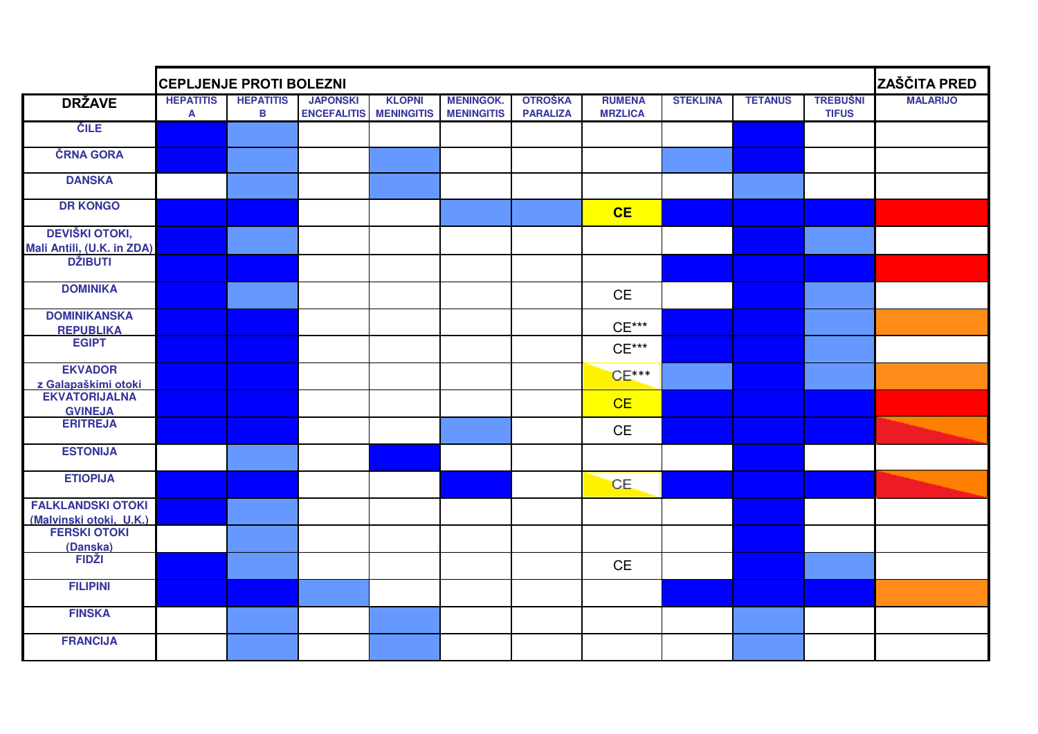|                                                                       | <b>CEPLJENJE PROTI BOLEZNI</b> |                       |                                       |                                    |                                       |                                   |                                 |                 |                |                                 | ZAŠČITA PRED    |
|-----------------------------------------------------------------------|--------------------------------|-----------------------|---------------------------------------|------------------------------------|---------------------------------------|-----------------------------------|---------------------------------|-----------------|----------------|---------------------------------|-----------------|
| <b>DRŽAVE</b>                                                         | <b>HEPATITIS</b><br>A          | <b>HEPATITIS</b><br>B | <b>JAPONSKI</b><br><b>ENCEFALITIS</b> | <b>KLOPNI</b><br><b>MENINGITIS</b> | <b>MENINGOK.</b><br><b>MENINGITIS</b> | <b>OTROŠKA</b><br><b>PARALIZA</b> | <b>RUMENA</b><br><b>MRZLICA</b> | <b>STEKLINA</b> | <b>TETANUS</b> | <b>TREBUŠNI</b><br><b>TIFUS</b> | <b>MALARIJO</b> |
| <b>CILE</b>                                                           |                                |                       |                                       |                                    |                                       |                                   |                                 |                 |                |                                 |                 |
| ČRNA GORA                                                             |                                |                       |                                       |                                    |                                       |                                   |                                 |                 |                |                                 |                 |
| <b>DANSKA</b>                                                         |                                |                       |                                       |                                    |                                       |                                   |                                 |                 |                |                                 |                 |
| <b>DR KONGO</b>                                                       |                                |                       |                                       |                                    |                                       |                                   | CE                              |                 |                |                                 |                 |
| <b>DEVIŠKI OTOKI,</b><br>Mali Antili, (U.K. in ZDA)<br><b>DŽIBUTI</b> |                                |                       |                                       |                                    |                                       |                                   |                                 |                 |                |                                 |                 |
| <b>DOMINIKA</b>                                                       |                                |                       |                                       |                                    |                                       |                                   | CE                              |                 |                |                                 |                 |
| <b>DOMINIKANSKA</b><br><b>REPUBLIKA</b>                               |                                |                       |                                       |                                    |                                       |                                   | $CE***$                         |                 |                |                                 |                 |
| <b>EGIPT</b>                                                          |                                |                       |                                       |                                    |                                       |                                   | $CE***$                         |                 |                |                                 |                 |
| <b>EKVADOR</b><br>z Galapaškimi otoki                                 |                                |                       |                                       |                                    |                                       |                                   | $CE***$                         |                 |                |                                 |                 |
| <b>EKVATORIJALNA</b><br><b>GVINEJA</b>                                |                                |                       |                                       |                                    |                                       |                                   | CE                              |                 |                |                                 |                 |
| <b>ERITREJA</b>                                                       |                                |                       |                                       |                                    |                                       |                                   | <b>CE</b>                       |                 |                |                                 |                 |
| <b>ESTONIJA</b>                                                       |                                |                       |                                       |                                    |                                       |                                   |                                 |                 |                |                                 |                 |
| <b>ETIOPIJA</b>                                                       |                                |                       |                                       |                                    |                                       |                                   | CE.                             |                 |                |                                 |                 |
| <b>FALKLANDSKI OTOKI</b><br>(Malvinski otoki, U.K.)<br>FERSKI OTOKI   |                                |                       |                                       |                                    |                                       |                                   |                                 |                 |                |                                 |                 |
| (Danska)<br>FIDŽI                                                     |                                |                       |                                       |                                    |                                       |                                   |                                 |                 |                |                                 |                 |
|                                                                       |                                |                       |                                       |                                    |                                       |                                   | $\mathsf{CE}% _{\mathcal{A}}$   |                 |                |                                 |                 |
| <b>FILIPINI</b>                                                       |                                |                       |                                       |                                    |                                       |                                   |                                 |                 |                |                                 |                 |
| <b>FINSKA</b>                                                         |                                |                       |                                       |                                    |                                       |                                   |                                 |                 |                |                                 |                 |
| <b>FRANCIJA</b>                                                       |                                |                       |                                       |                                    |                                       |                                   |                                 |                 |                |                                 |                 |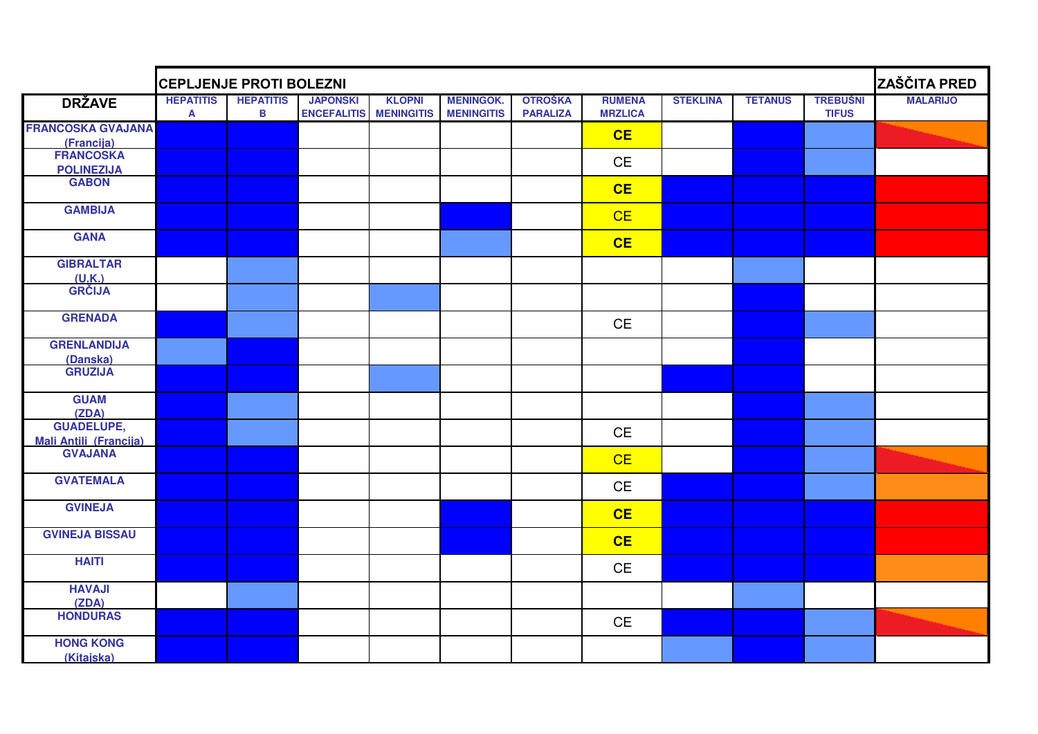|                                          | ZAŠČITA PRED<br><b>CEPLJENJE PROTI BOLEZNI</b> |                                  |                                       |                                    |                                       |                                   |                                 |                 |                |                                 |                 |
|------------------------------------------|------------------------------------------------|----------------------------------|---------------------------------------|------------------------------------|---------------------------------------|-----------------------------------|---------------------------------|-----------------|----------------|---------------------------------|-----------------|
| <b>DRŽAVE</b>                            | <b>HEPATITIS</b><br>$\mathbf{A}$               | <b>HEPATITIS</b><br>$\, {\bf B}$ | <b>JAPONSKI</b><br><b>ENCEFALITIS</b> | <b>KLOPNI</b><br><b>MENINGITIS</b> | <b>MENINGOK.</b><br><b>MENINGITIS</b> | <b>OTROŠKA</b><br><b>PARALIZA</b> | <b>RUMENA</b><br><b>MRZLICA</b> | <b>STEKLINA</b> | <b>TETANUS</b> | <b>TREBUŠNI</b><br><b>TIFUS</b> | <b>MALARIJO</b> |
| <b>FRANCOSKA GVAJANA</b>                 |                                                |                                  |                                       |                                    |                                       |                                   | CE                              |                 |                |                                 |                 |
| (Francija)                               |                                                |                                  |                                       |                                    |                                       |                                   |                                 |                 |                |                                 |                 |
| <b>FRANCOSKA</b>                         |                                                |                                  |                                       |                                    |                                       |                                   | CE                              |                 |                |                                 |                 |
| <b>POLINEZIJA</b>                        |                                                |                                  |                                       |                                    |                                       |                                   |                                 |                 |                |                                 |                 |
| <b>GABON</b>                             |                                                |                                  |                                       |                                    |                                       |                                   | CE                              |                 |                |                                 |                 |
| <b>GAMBIJA</b>                           |                                                |                                  |                                       |                                    |                                       |                                   | CE                              |                 |                |                                 |                 |
| <b>GANA</b>                              |                                                |                                  |                                       |                                    |                                       |                                   | CE                              |                 |                |                                 |                 |
| <b>GIBRALTAR</b>                         |                                                |                                  |                                       |                                    |                                       |                                   |                                 |                 |                |                                 |                 |
| (U.K.)<br>GRČIJA                         |                                                |                                  |                                       |                                    |                                       |                                   |                                 |                 |                |                                 |                 |
| <b>GRENADA</b>                           |                                                |                                  |                                       |                                    |                                       |                                   | <b>CE</b>                       |                 |                |                                 |                 |
| <b>GRENLANDIJA</b><br>(Danska)           |                                                |                                  |                                       |                                    |                                       |                                   |                                 |                 |                |                                 |                 |
| <b>GRUZIJA</b>                           |                                                |                                  |                                       |                                    |                                       |                                   |                                 |                 |                |                                 |                 |
| <b>GUAM</b><br>(ZDA)                     |                                                |                                  |                                       |                                    |                                       |                                   |                                 |                 |                |                                 |                 |
| <b>GUADELUPE,</b>                        |                                                |                                  |                                       |                                    |                                       |                                   |                                 |                 |                |                                 |                 |
|                                          |                                                |                                  |                                       |                                    |                                       |                                   | CE                              |                 |                |                                 |                 |
| <b>Mali Antili (Francija)</b><br>GVAJANA |                                                |                                  |                                       |                                    |                                       |                                   | CE                              |                 |                |                                 |                 |
| <b>GVATEMALA</b>                         |                                                |                                  |                                       |                                    |                                       |                                   | <b>CE</b>                       |                 |                |                                 |                 |
| <b>GVINEJA</b>                           |                                                |                                  |                                       |                                    |                                       |                                   | CE                              |                 |                |                                 |                 |
| <b>GVINEJA BISSAU</b>                    |                                                |                                  |                                       |                                    |                                       |                                   | CE                              |                 |                |                                 |                 |
| <b>HAITI</b>                             |                                                |                                  |                                       |                                    |                                       |                                   | $\mathsf{CE}$                   |                 |                |                                 |                 |
| <b>HAVAJI</b><br>(ZDA)                   |                                                |                                  |                                       |                                    |                                       |                                   |                                 |                 |                |                                 |                 |
| <b>HONDURAS</b>                          |                                                |                                  |                                       |                                    |                                       |                                   | CE                              |                 |                |                                 |                 |
| <b>HONG KONG</b><br>(Kitajska)           |                                                |                                  |                                       |                                    |                                       |                                   |                                 |                 |                |                                 |                 |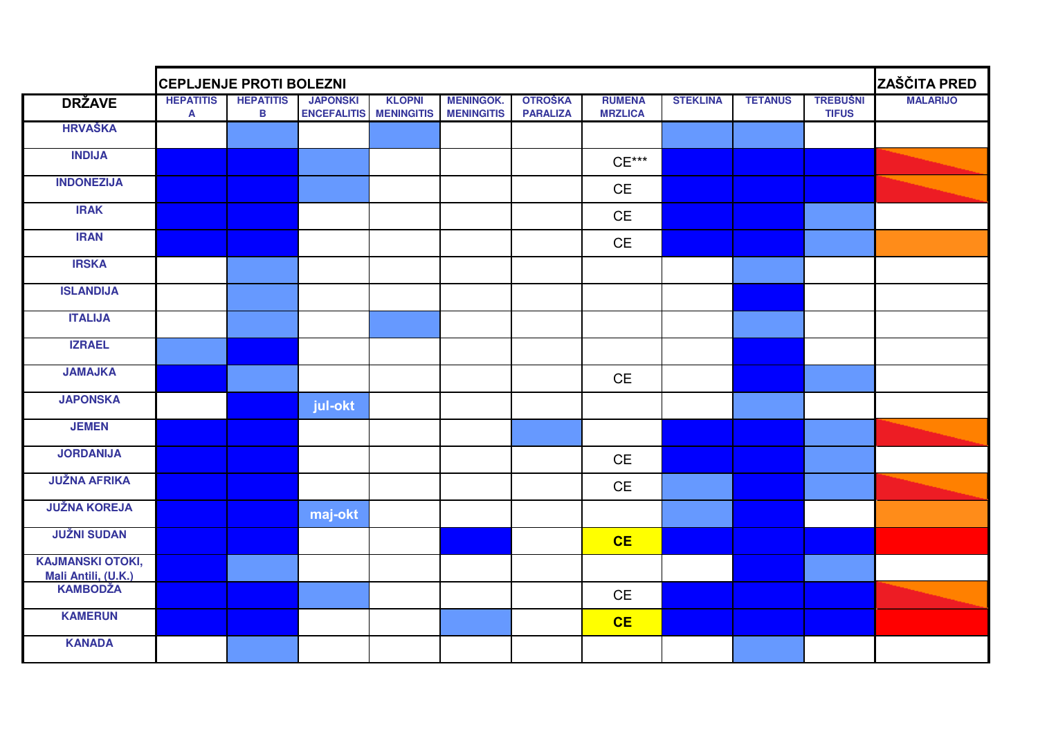|                                                | <b>CEPLJENJE PROTI BOLEZNI</b>         |                       |                                                  |               |                                       |                                   |                                 |                 |                |                                 |                 |
|------------------------------------------------|----------------------------------------|-----------------------|--------------------------------------------------|---------------|---------------------------------------|-----------------------------------|---------------------------------|-----------------|----------------|---------------------------------|-----------------|
| <b>DRŽAVE</b>                                  | <b>HEPATITIS</b><br>$\pmb{\mathsf{A}}$ | <b>HEPATITIS</b><br>B | <b>JAPONSKI</b><br><b>ENCEFALITIS MENINGITIS</b> | <b>KLOPNI</b> | <b>MENINGOK.</b><br><b>MENINGITIS</b> | <b>OTROŠKA</b><br><b>PARALIZA</b> | <b>RUMENA</b><br><b>MRZLICA</b> | <b>STEKLINA</b> | <b>TETANUS</b> | <b>TREBUŠNI</b><br><b>TIFUS</b> | <b>MALARIJO</b> |
| <b>HRVAŠKA</b>                                 |                                        |                       |                                                  |               |                                       |                                   |                                 |                 |                |                                 |                 |
| <b>INDIJA</b>                                  |                                        |                       |                                                  |               |                                       |                                   | $CE***$                         |                 |                |                                 |                 |
| <b>INDONEZIJA</b>                              |                                        |                       |                                                  |               |                                       |                                   | <b>CE</b>                       |                 |                |                                 |                 |
| <b>IRAK</b>                                    |                                        |                       |                                                  |               |                                       |                                   | <b>CE</b>                       |                 |                |                                 |                 |
| <b>IRAN</b>                                    |                                        |                       |                                                  |               |                                       |                                   | $\mathsf{CE}% _{\mathcal{A}}$   |                 |                |                                 |                 |
| <b>IRSKA</b>                                   |                                        |                       |                                                  |               |                                       |                                   |                                 |                 |                |                                 |                 |
| <b>ISLANDIJA</b>                               |                                        |                       |                                                  |               |                                       |                                   |                                 |                 |                |                                 |                 |
| <b>ITALIJA</b>                                 |                                        |                       |                                                  |               |                                       |                                   |                                 |                 |                |                                 |                 |
| <b>IZRAEL</b>                                  |                                        |                       |                                                  |               |                                       |                                   |                                 |                 |                |                                 |                 |
| <b>JAMAJKA</b>                                 |                                        |                       |                                                  |               |                                       |                                   | <b>CE</b>                       |                 |                |                                 |                 |
| <b>JAPONSKA</b>                                |                                        |                       | jul-okt                                          |               |                                       |                                   |                                 |                 |                |                                 |                 |
| <b>JEMEN</b>                                   |                                        |                       |                                                  |               |                                       |                                   |                                 |                 |                |                                 |                 |
| <b>JORDANIJA</b>                               |                                        |                       |                                                  |               |                                       |                                   | CE                              |                 |                |                                 |                 |
| <b>JUŽNA AFRIKA</b>                            |                                        |                       |                                                  |               |                                       |                                   | <b>CE</b>                       |                 |                |                                 |                 |
| <b>JUŽNA KOREJA</b>                            |                                        |                       | maj-okt                                          |               |                                       |                                   |                                 |                 |                |                                 |                 |
| <b>JUŽNI SUDAN</b>                             |                                        |                       |                                                  |               |                                       |                                   | CE                              |                 |                |                                 |                 |
| <b>KAJMANSKI OTOKI,</b><br>Mali Antili, (U.K.) |                                        |                       |                                                  |               |                                       |                                   |                                 |                 |                |                                 |                 |
| <b>KAMBODŽA</b>                                |                                        |                       |                                                  |               |                                       |                                   | $\mathsf{CE}% _{\mathcal{A}}$   |                 |                |                                 |                 |
| <b>KAMERUN</b>                                 |                                        |                       |                                                  |               |                                       |                                   | CE                              |                 |                |                                 |                 |
| <b>KANADA</b>                                  |                                        |                       |                                                  |               |                                       |                                   |                                 |                 |                |                                 |                 |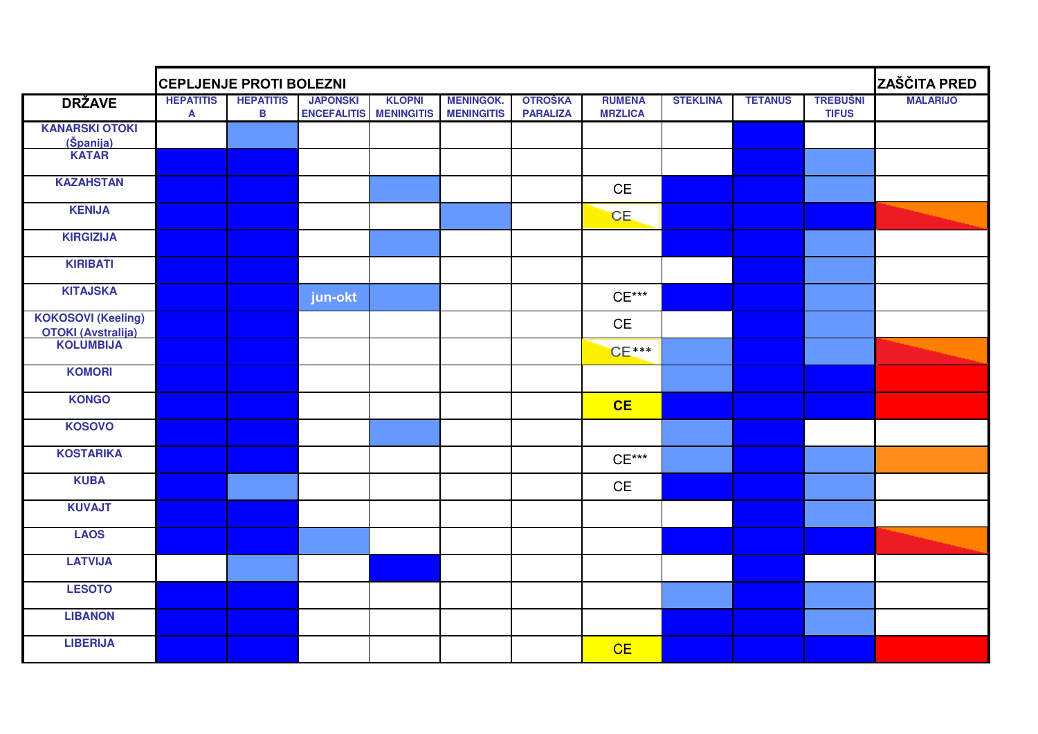|                                                                     | <b>CEPLJENJE PROTI BOLEZNI</b> |                       |                                       |                                    |                                       |                                   |                                 |                 |                |                                 |                 |  |
|---------------------------------------------------------------------|--------------------------------|-----------------------|---------------------------------------|------------------------------------|---------------------------------------|-----------------------------------|---------------------------------|-----------------|----------------|---------------------------------|-----------------|--|
| <b>DRŽAVE</b>                                                       | <b>HEPATITIS</b><br>A          | <b>HEPATITIS</b><br>B | <b>JAPONSKI</b><br><b>ENCEFALITIS</b> | <b>KLOPNI</b><br><b>MENINGITIS</b> | <b>MENINGOK.</b><br><b>MENINGITIS</b> | <b>OTROŠKA</b><br><b>PARALIZA</b> | <b>RUMENA</b><br><b>MRZLICA</b> | <b>STEKLINA</b> | <b>TETANUS</b> | <b>TREBUŠNI</b><br><b>TIFUS</b> | <b>MALARIJO</b> |  |
| <b>KANARSKI OTOKI</b>                                               |                                |                       |                                       |                                    |                                       |                                   |                                 |                 |                |                                 |                 |  |
| (Španija)<br>KATAR                                                  |                                |                       |                                       |                                    |                                       |                                   |                                 |                 |                |                                 |                 |  |
| <b>KAZAHSTAN</b>                                                    |                                |                       |                                       |                                    |                                       |                                   | $\mathsf{CE}% _{\mathcal{A}}$   |                 |                |                                 |                 |  |
| <b>KENIJA</b>                                                       |                                |                       |                                       |                                    |                                       |                                   | CE.                             |                 |                |                                 |                 |  |
| <b>KIRGIZIJA</b>                                                    |                                |                       |                                       |                                    |                                       |                                   |                                 |                 |                |                                 |                 |  |
| <b>KIRIBATI</b>                                                     |                                |                       |                                       |                                    |                                       |                                   |                                 |                 |                |                                 |                 |  |
| <b>KITAJSKA</b>                                                     |                                |                       | jun-okt                               |                                    |                                       |                                   | $CE***$                         |                 |                |                                 |                 |  |
| <b>KOKOSOVI (Keeling)</b><br><b>OTOKI (Avstralija)</b><br>KOLUMBIJA |                                |                       |                                       |                                    |                                       |                                   | <b>CE</b>                       |                 |                |                                 |                 |  |
|                                                                     |                                |                       |                                       |                                    |                                       |                                   | $CE***$                         |                 |                |                                 |                 |  |
| <b>KOMORI</b>                                                       |                                |                       |                                       |                                    |                                       |                                   |                                 |                 |                |                                 |                 |  |
| <b>KONGO</b>                                                        |                                |                       |                                       |                                    |                                       |                                   | CE                              |                 |                |                                 |                 |  |
| <b>KOSOVO</b>                                                       |                                |                       |                                       |                                    |                                       |                                   |                                 |                 |                |                                 |                 |  |
| <b>KOSTARIKA</b>                                                    |                                |                       |                                       |                                    |                                       |                                   | $CE***$                         |                 |                |                                 |                 |  |
| <b>KUBA</b>                                                         |                                |                       |                                       |                                    |                                       |                                   | CE                              |                 |                |                                 |                 |  |
| <b>KUVAJT</b>                                                       |                                |                       |                                       |                                    |                                       |                                   |                                 |                 |                |                                 |                 |  |
| <b>LAOS</b>                                                         |                                |                       |                                       |                                    |                                       |                                   |                                 |                 |                |                                 |                 |  |
| <b>LATVIJA</b>                                                      |                                |                       |                                       |                                    |                                       |                                   |                                 |                 |                |                                 |                 |  |
| <b>LESOTO</b>                                                       |                                |                       |                                       |                                    |                                       |                                   |                                 |                 |                |                                 |                 |  |
| <b>LIBANON</b>                                                      |                                |                       |                                       |                                    |                                       |                                   |                                 |                 |                |                                 |                 |  |
| <b>LIBERIJA</b>                                                     |                                |                       |                                       |                                    |                                       |                                   | CE                              |                 |                |                                 |                 |  |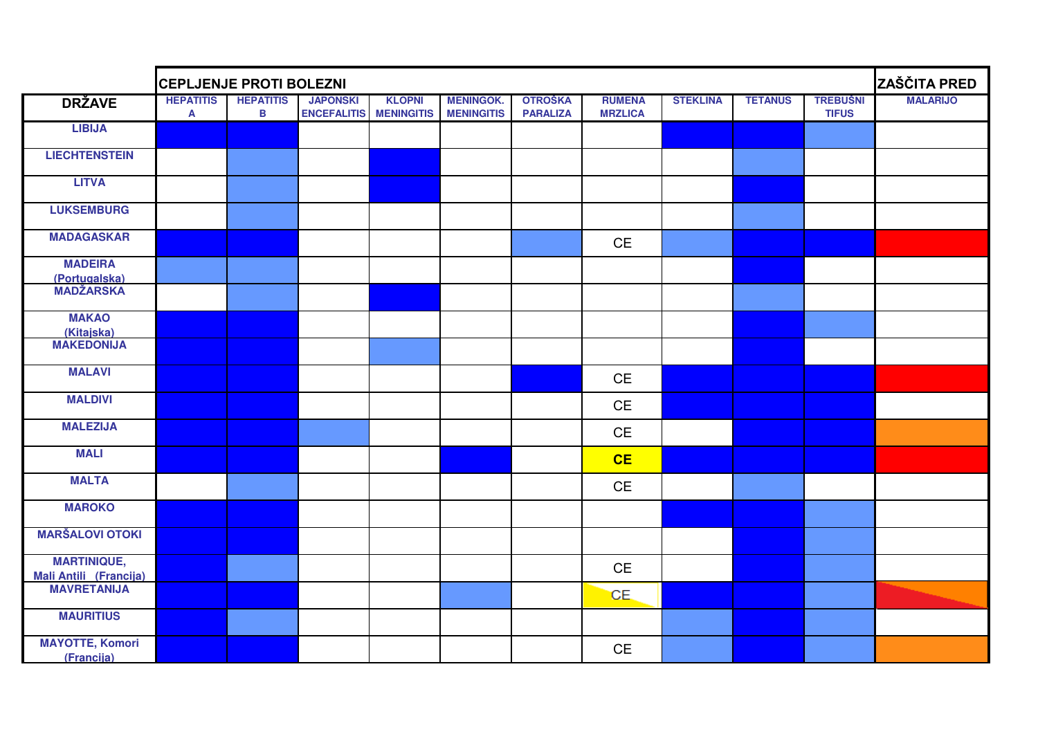|                                              | <b>CEPLJENJE PROTI BOLEZNI</b> |                       |                                       |                                    |                                       |                                   |                                 |                 |                |                                 |                 |  |
|----------------------------------------------|--------------------------------|-----------------------|---------------------------------------|------------------------------------|---------------------------------------|-----------------------------------|---------------------------------|-----------------|----------------|---------------------------------|-----------------|--|
| <b>DRŽAVE</b>                                | <b>HEPATITIS</b><br>A          | <b>HEPATITIS</b><br>B | <b>JAPONSKI</b><br><b>ENCEFALITIS</b> | <b>KLOPNI</b><br><b>MENINGITIS</b> | <b>MENINGOK.</b><br><b>MENINGITIS</b> | <b>OTROŠKA</b><br><b>PARALIZA</b> | <b>RUMENA</b><br><b>MRZLICA</b> | <b>STEKLINA</b> | <b>TETANUS</b> | <b>TREBUŠNI</b><br><b>TIFUS</b> | <b>MALARIJO</b> |  |
| <b>LIBIJA</b>                                |                                |                       |                                       |                                    |                                       |                                   |                                 |                 |                |                                 |                 |  |
| <b>LIECHTENSTEIN</b>                         |                                |                       |                                       |                                    |                                       |                                   |                                 |                 |                |                                 |                 |  |
| <b>LITVA</b>                                 |                                |                       |                                       |                                    |                                       |                                   |                                 |                 |                |                                 |                 |  |
| <b>LUKSEMBURG</b>                            |                                |                       |                                       |                                    |                                       |                                   |                                 |                 |                |                                 |                 |  |
| <b>MADAGASKAR</b>                            |                                |                       |                                       |                                    |                                       |                                   | CE                              |                 |                |                                 |                 |  |
| <b>MADEIRA</b><br>(Portugalska)              |                                |                       |                                       |                                    |                                       |                                   |                                 |                 |                |                                 |                 |  |
| <b>MADŽARSKA</b>                             |                                |                       |                                       |                                    |                                       |                                   |                                 |                 |                |                                 |                 |  |
| <b>MAKAO</b><br>(Kitajska)                   |                                |                       |                                       |                                    |                                       |                                   |                                 |                 |                |                                 |                 |  |
| <b>MAKEDONIJA</b>                            |                                |                       |                                       |                                    |                                       |                                   |                                 |                 |                |                                 |                 |  |
| <b>MALAVI</b>                                |                                |                       |                                       |                                    |                                       |                                   | CE                              |                 |                |                                 |                 |  |
| <b>MALDIVI</b>                               |                                |                       |                                       |                                    |                                       |                                   | CE                              |                 |                |                                 |                 |  |
| <b>MALEZIJA</b>                              |                                |                       |                                       |                                    |                                       |                                   | CE                              |                 |                |                                 |                 |  |
| <b>MALI</b>                                  |                                |                       |                                       |                                    |                                       |                                   | CE                              |                 |                |                                 |                 |  |
| <b>MALTA</b>                                 |                                |                       |                                       |                                    |                                       |                                   | <b>CE</b>                       |                 |                |                                 |                 |  |
| <b>MAROKO</b>                                |                                |                       |                                       |                                    |                                       |                                   |                                 |                 |                |                                 |                 |  |
| <b>MARŠALOVI OTOKI</b>                       |                                |                       |                                       |                                    |                                       |                                   |                                 |                 |                |                                 |                 |  |
| <b>MARTINIQUE,</b>                           |                                |                       |                                       |                                    |                                       |                                   | <b>CE</b>                       |                 |                |                                 |                 |  |
| <b>Mali Antili (Francija)</b><br>MAVRETANIJA |                                |                       |                                       |                                    |                                       |                                   | CE.                             |                 |                |                                 |                 |  |
| <b>MAURITIUS</b>                             |                                |                       |                                       |                                    |                                       |                                   |                                 |                 |                |                                 |                 |  |
| <b>MAYOTTE, Komori</b><br>(Francija)         |                                |                       |                                       |                                    |                                       |                                   | $\mathsf{CE}$                   |                 |                |                                 |                 |  |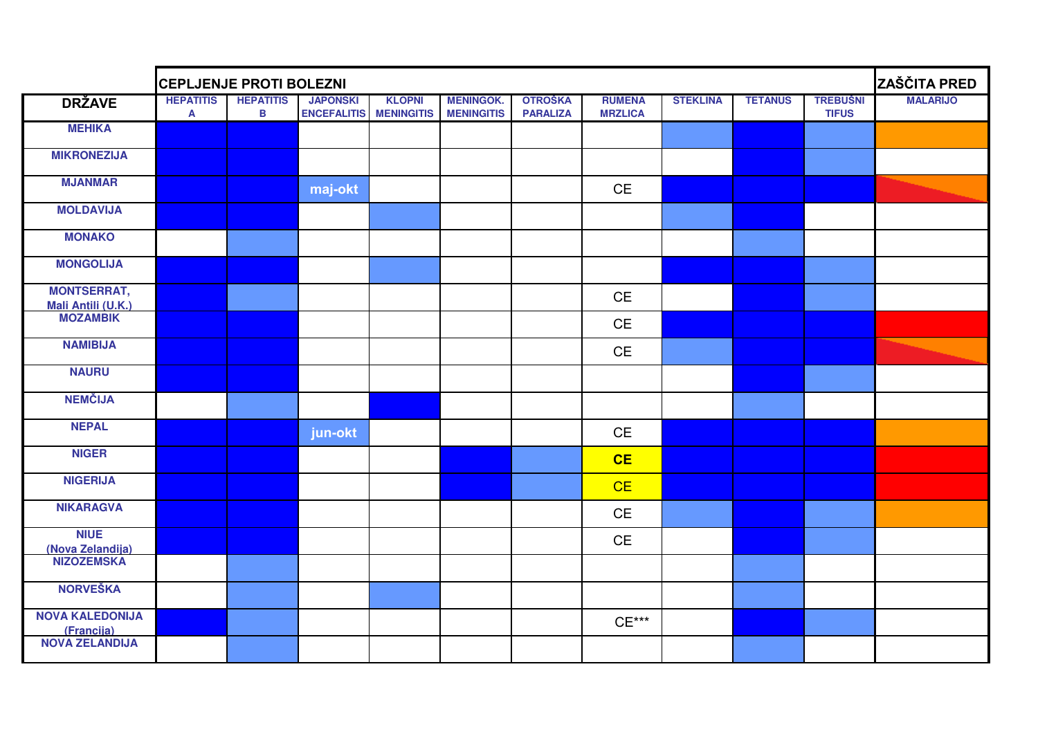|                                      | <b>CEPLJENJE PROTI BOLEZNI</b> |                                 |                                       | ZAŠČITA PRED                       |                                       |                                   |                                             |                 |                |                                 |                 |
|--------------------------------------|--------------------------------|---------------------------------|---------------------------------------|------------------------------------|---------------------------------------|-----------------------------------|---------------------------------------------|-----------------|----------------|---------------------------------|-----------------|
| <b>DRŽAVE</b>                        | <b>HEPATITIS</b><br>A          | <b>HEPATITIS</b><br>$\mathbf B$ | <b>JAPONSKI</b><br><b>ENCEFALITIS</b> | <b>KLOPNI</b><br><b>MENINGITIS</b> | <b>MENINGOK.</b><br><b>MENINGITIS</b> | <b>OTROŠKA</b><br><b>PARALIZA</b> | <b>RUMENA</b><br><b>MRZLICA</b>             | <b>STEKLINA</b> | <b>TETANUS</b> | <b>TREBUŠNI</b><br><b>TIFUS</b> | <b>MALARIJO</b> |
| <b>MEHIKA</b>                        |                                |                                 |                                       |                                    |                                       |                                   |                                             |                 |                |                                 |                 |
| <b>MIKRONEZIJA</b>                   |                                |                                 |                                       |                                    |                                       |                                   |                                             |                 |                |                                 |                 |
| <b>MJANMAR</b>                       |                                |                                 | maj-okt                               |                                    |                                       |                                   | <b>CE</b>                                   |                 |                |                                 |                 |
| <b>MOLDAVIJA</b>                     |                                |                                 |                                       |                                    |                                       |                                   |                                             |                 |                |                                 |                 |
| <b>MONAKO</b>                        |                                |                                 |                                       |                                    |                                       |                                   |                                             |                 |                |                                 |                 |
| <b>MONGOLIJA</b>                     |                                |                                 |                                       |                                    |                                       |                                   |                                             |                 |                |                                 |                 |
| <b>MONTSERRAT,</b>                   |                                |                                 |                                       |                                    |                                       |                                   | $\mathsf{CE}$                               |                 |                |                                 |                 |
| Mali Antili (U.K.)<br>MOZAMBIK       |                                |                                 |                                       |                                    |                                       |                                   | <b>CE</b>                                   |                 |                |                                 |                 |
| <b>NAMIBIJA</b>                      |                                |                                 |                                       |                                    |                                       |                                   | $\mathsf{CE}% _{\mathsf{CE}}^{\mathsf{CE}}$ |                 |                |                                 |                 |
| <b>NAURU</b>                         |                                |                                 |                                       |                                    |                                       |                                   |                                             |                 |                |                                 |                 |
| <b>NEMČIJA</b>                       |                                |                                 |                                       |                                    |                                       |                                   |                                             |                 |                |                                 |                 |
| <b>NEPAL</b>                         |                                |                                 | jun-okt                               |                                    |                                       |                                   | <b>CE</b>                                   |                 |                |                                 |                 |
| <b>NIGER</b>                         |                                |                                 |                                       |                                    |                                       |                                   | CE                                          |                 |                |                                 |                 |
| <b>NIGERIJA</b>                      |                                |                                 |                                       |                                    |                                       |                                   | CE                                          |                 |                |                                 |                 |
| <b>NIKARAGVA</b>                     |                                |                                 |                                       |                                    |                                       |                                   | $\mathsf{CE}% _{\mathsf{CE}}^{\mathsf{CE}}$ |                 |                |                                 |                 |
| <b>NIUE</b><br>(Nova Zelandija)      |                                |                                 |                                       |                                    |                                       |                                   | <b>CE</b>                                   |                 |                |                                 |                 |
| <b>NIZOZEMSKA</b>                    |                                |                                 |                                       |                                    |                                       |                                   |                                             |                 |                |                                 |                 |
| <b>NORVEŠKA</b>                      |                                |                                 |                                       |                                    |                                       |                                   |                                             |                 |                |                                 |                 |
| <b>NOVA KALEDONIJA</b><br>(Francija) |                                |                                 |                                       |                                    |                                       |                                   | $CE***$                                     |                 |                |                                 |                 |
| <b>NOVA ZELANDIJA</b>                |                                |                                 |                                       |                                    |                                       |                                   |                                             |                 |                |                                 |                 |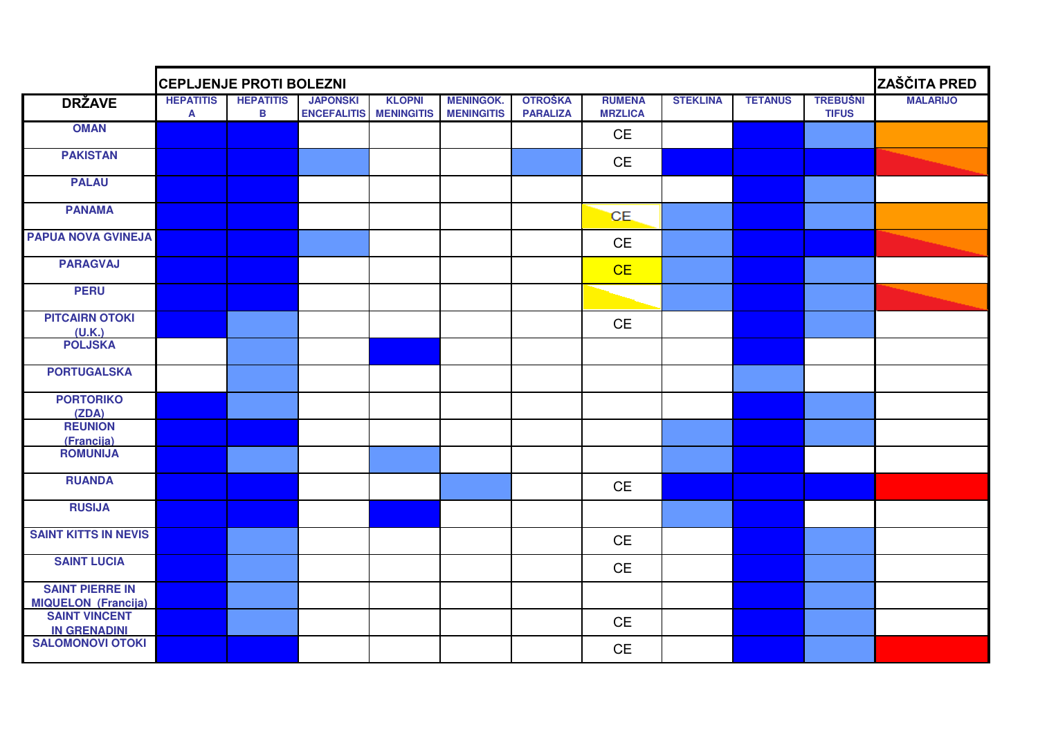|                                                      | <b>CEPLJENJE PROTI BOLEZNI</b>   |                       | ZAŠČITA PRED                          |                                    |                                       |                                   |                                 |                 |                |                                 |                 |
|------------------------------------------------------|----------------------------------|-----------------------|---------------------------------------|------------------------------------|---------------------------------------|-----------------------------------|---------------------------------|-----------------|----------------|---------------------------------|-----------------|
| <b>DRŽAVE</b>                                        | <b>HEPATITIS</b><br>$\mathbf{A}$ | <b>HEPATITIS</b><br>B | <b>JAPONSKI</b><br><b>ENCEFALITIS</b> | <b>KLOPNI</b><br><b>MENINGITIS</b> | <b>MENINGOK.</b><br><b>MENINGITIS</b> | <b>OTROŠKA</b><br><b>PARALIZA</b> | <b>RUMENA</b><br><b>MRZLICA</b> | <b>STEKLINA</b> | <b>TETANUS</b> | <b>TREBUŚNI</b><br><b>TIFUS</b> | <b>MALARIJO</b> |
| <b>OMAN</b>                                          |                                  |                       |                                       |                                    |                                       |                                   | <b>CE</b>                       |                 |                |                                 |                 |
| <b>PAKISTAN</b>                                      |                                  |                       |                                       |                                    |                                       |                                   | <b>CE</b>                       |                 |                |                                 |                 |
| <b>PALAU</b>                                         |                                  |                       |                                       |                                    |                                       |                                   |                                 |                 |                |                                 |                 |
| <b>PANAMA</b>                                        |                                  |                       |                                       |                                    |                                       |                                   | CE.                             |                 |                |                                 |                 |
| <b>PAPUA NOVA GVINEJA</b>                            |                                  |                       |                                       |                                    |                                       |                                   | <b>CE</b>                       |                 |                |                                 |                 |
| <b>PARAGVAJ</b>                                      |                                  |                       |                                       |                                    |                                       |                                   | CE                              |                 |                |                                 |                 |
| <b>PERU</b>                                          |                                  |                       |                                       |                                    |                                       |                                   |                                 |                 |                |                                 |                 |
| <b>PITCAIRN OTOKI</b><br>(U.K.)                      |                                  |                       |                                       |                                    |                                       |                                   | <b>CE</b>                       |                 |                |                                 |                 |
| <b>POLJSKA</b>                                       |                                  |                       |                                       |                                    |                                       |                                   |                                 |                 |                |                                 |                 |
| <b>PORTUGALSKA</b>                                   |                                  |                       |                                       |                                    |                                       |                                   |                                 |                 |                |                                 |                 |
| <b>PORTORIKO</b><br>(ZDA)                            |                                  |                       |                                       |                                    |                                       |                                   |                                 |                 |                |                                 |                 |
| <b>REUNION</b><br>(Francija)                         |                                  |                       |                                       |                                    |                                       |                                   |                                 |                 |                |                                 |                 |
| <b>ROMUNIJA</b>                                      |                                  |                       |                                       |                                    |                                       |                                   |                                 |                 |                |                                 |                 |
| <b>RUANDA</b>                                        |                                  |                       |                                       |                                    |                                       |                                   | CE                              |                 |                |                                 |                 |
| <b>RUSIJA</b>                                        |                                  |                       |                                       |                                    |                                       |                                   |                                 |                 |                |                                 |                 |
| <b>SAINT KITTS IN NEVIS</b>                          |                                  |                       |                                       |                                    |                                       |                                   | CE                              |                 |                |                                 |                 |
| <b>SAINT LUCIA</b>                                   |                                  |                       |                                       |                                    |                                       |                                   | <b>CE</b>                       |                 |                |                                 |                 |
| <b>SAINT PIERRE IN</b><br><b>MIQUELON (Francija)</b> |                                  |                       |                                       |                                    |                                       |                                   |                                 |                 |                |                                 |                 |
| <b>SAINT VINCENT</b><br><b>IN GRENADINI</b>          |                                  |                       |                                       |                                    |                                       |                                   | CE                              |                 |                |                                 |                 |
| <b>SALOMONOVI OTOKI</b>                              |                                  |                       |                                       |                                    |                                       |                                   | CE                              |                 |                |                                 |                 |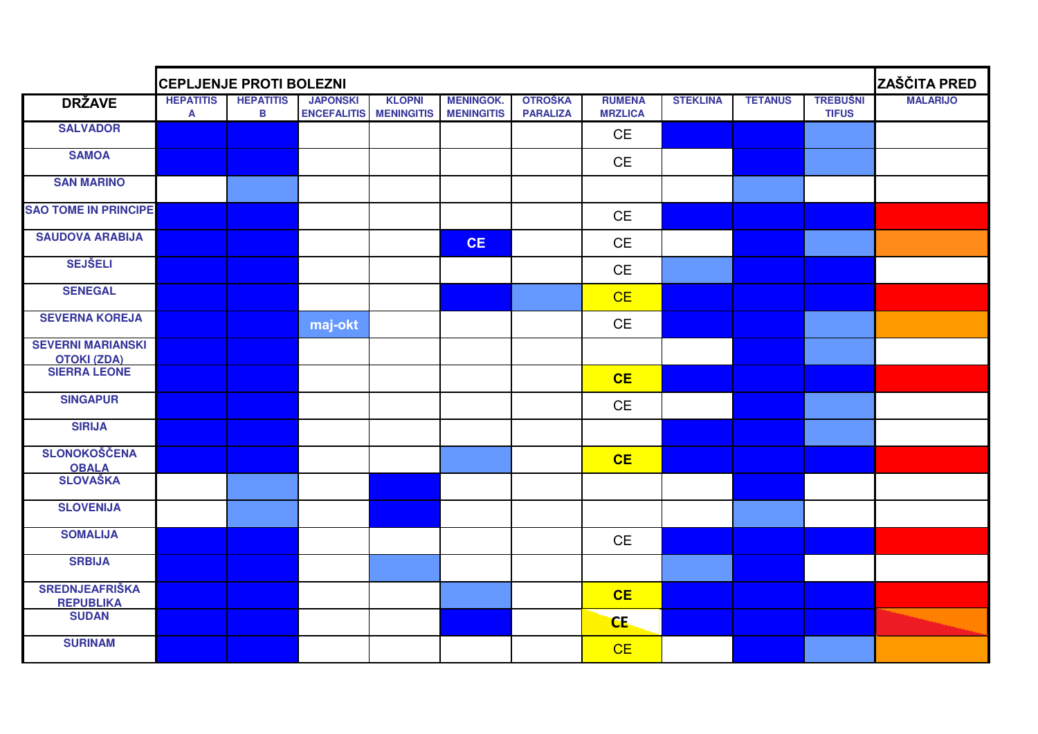|                                                | <b>CEPLJENJE PROTI BOLEZNI</b>   |                       |                                       |                                    |                                       |                                   |                                 |                 |                |                                 |                 |
|------------------------------------------------|----------------------------------|-----------------------|---------------------------------------|------------------------------------|---------------------------------------|-----------------------------------|---------------------------------|-----------------|----------------|---------------------------------|-----------------|
| <b>DRŽAVE</b>                                  | <b>HEPATITIS</b><br>$\mathbf{A}$ | <b>HEPATITIS</b><br>B | <b>JAPONSKI</b><br><b>ENCEFALITIS</b> | <b>KLOPNI</b><br><b>MENINGITIS</b> | <b>MENINGOK.</b><br><b>MENINGITIS</b> | <b>OTROŠKA</b><br><b>PARALIZA</b> | <b>RUMENA</b><br><b>MRZLICA</b> | <b>STEKLINA</b> | <b>TETANUS</b> | <b>TREBUŠNI</b><br><b>TIFUS</b> | <b>MALARIJO</b> |
| <b>SALVADOR</b>                                |                                  |                       |                                       |                                    |                                       |                                   | <b>CE</b>                       |                 |                |                                 |                 |
| <b>SAMOA</b>                                   |                                  |                       |                                       |                                    |                                       |                                   | <b>CE</b>                       |                 |                |                                 |                 |
| <b>SAN MARINO</b>                              |                                  |                       |                                       |                                    |                                       |                                   |                                 |                 |                |                                 |                 |
| <b>SAO TOME IN PRINCIPE</b>                    |                                  |                       |                                       |                                    |                                       |                                   | <b>CE</b>                       |                 |                |                                 |                 |
| <b>SAUDOVA ARABIJA</b>                         |                                  |                       |                                       |                                    | <b>CE</b>                             |                                   | CE                              |                 |                |                                 |                 |
| <b>SEJŠELI</b>                                 |                                  |                       |                                       |                                    |                                       |                                   | CE                              |                 |                |                                 |                 |
| <b>SENEGAL</b>                                 |                                  |                       |                                       |                                    |                                       |                                   | CE                              |                 |                |                                 |                 |
| <b>SEVERNA KOREJA</b>                          |                                  |                       | maj-okt                               |                                    |                                       |                                   | <b>CE</b>                       |                 |                |                                 |                 |
| <b>SEVERNI MARIANSKI</b><br><b>OTOKI (ZDA)</b> |                                  |                       |                                       |                                    |                                       |                                   |                                 |                 |                |                                 |                 |
| <b>SIERRA LEONE</b>                            |                                  |                       |                                       |                                    |                                       |                                   | CE                              |                 |                |                                 |                 |
| <b>SINGAPUR</b>                                |                                  |                       |                                       |                                    |                                       |                                   | <b>CE</b>                       |                 |                |                                 |                 |
| <b>SIRIJA</b>                                  |                                  |                       |                                       |                                    |                                       |                                   |                                 |                 |                |                                 |                 |
| <b>SLONOKOŠČENA</b>                            |                                  |                       |                                       |                                    |                                       |                                   | CE                              |                 |                |                                 |                 |
| <b>OBALA<br/>SLOVAŠKA</b>                      |                                  |                       |                                       |                                    |                                       |                                   |                                 |                 |                |                                 |                 |
| <b>SLOVENIJA</b>                               |                                  |                       |                                       |                                    |                                       |                                   |                                 |                 |                |                                 |                 |
| <b>SOMALIJA</b>                                |                                  |                       |                                       |                                    |                                       |                                   | $\mathsf{CE}$                   |                 |                |                                 |                 |
| <b>SRBIJA</b>                                  |                                  |                       |                                       |                                    |                                       |                                   |                                 |                 |                |                                 |                 |
| <b>SREDNJEAFRIŠKA</b><br><b>REPUBLIKA</b>      |                                  |                       |                                       |                                    |                                       |                                   | CE                              |                 |                |                                 |                 |
| <b>SUDAN</b>                                   |                                  |                       |                                       |                                    |                                       |                                   | CE.                             |                 |                |                                 |                 |
| <b>SURINAM</b>                                 |                                  |                       |                                       |                                    |                                       |                                   | CE                              |                 |                |                                 |                 |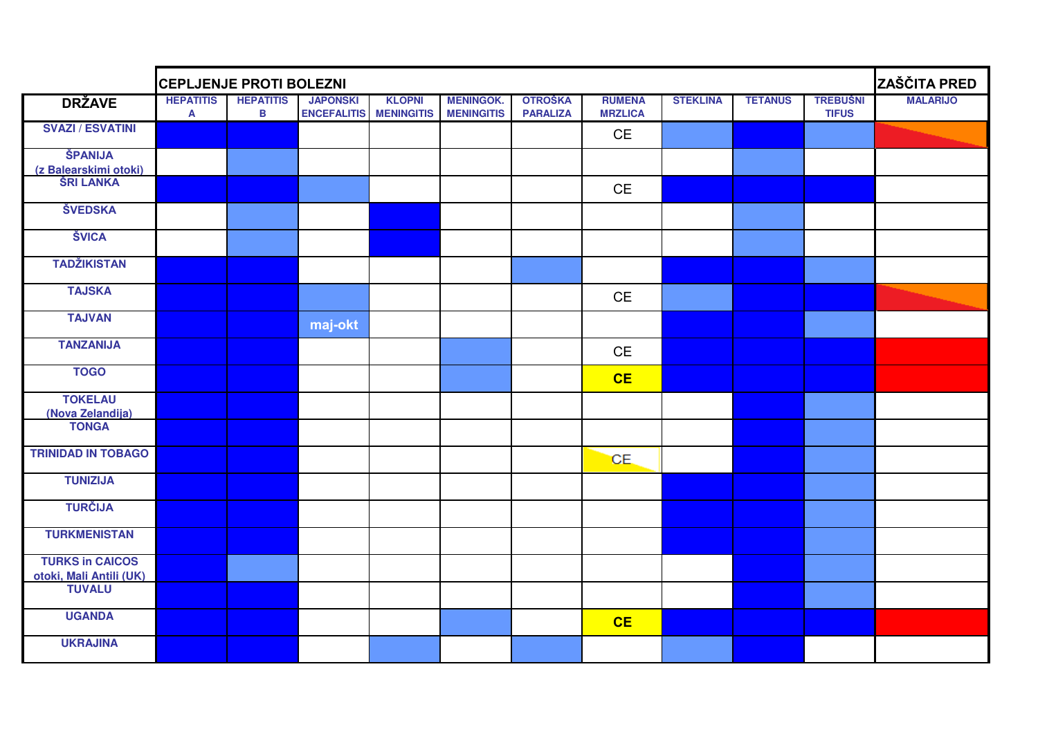|                                                   | <b>CEPLJENJE PROTI BOLEZNI</b>   |                                  |                                       |                                    | ZAŠČITA PRED                          |                                   |                                 |                 |                |                                 |                 |
|---------------------------------------------------|----------------------------------|----------------------------------|---------------------------------------|------------------------------------|---------------------------------------|-----------------------------------|---------------------------------|-----------------|----------------|---------------------------------|-----------------|
| <b>DRŽAVE</b>                                     | <b>HEPATITIS</b><br>$\mathbf{A}$ | <b>HEPATITIS</b><br>$\, {\bf B}$ | <b>JAPONSKI</b><br><b>ENCEFALITIS</b> | <b>KLOPNI</b><br><b>MENINGITIS</b> | <b>MENINGOK.</b><br><b>MENINGITIS</b> | <b>OTROŠKA</b><br><b>PARALIZA</b> | <b>RUMENA</b><br><b>MRZLICA</b> | <b>STEKLINA</b> | <b>TETANUS</b> | <b>TREBUŠNI</b><br><b>TIFUS</b> | <b>MALARIJO</b> |
| <b>SVAZI / ESVATINI</b>                           |                                  |                                  |                                       |                                    |                                       |                                   | CE                              |                 |                |                                 |                 |
| ŠPANIJA                                           |                                  |                                  |                                       |                                    |                                       |                                   |                                 |                 |                |                                 |                 |
| (z Balearskimi otoki)                             |                                  |                                  |                                       |                                    |                                       |                                   |                                 |                 |                |                                 |                 |
| <b>ŠRI LANKA</b>                                  |                                  |                                  |                                       |                                    |                                       |                                   | CE                              |                 |                |                                 |                 |
| <b>ŠVEDSKA</b>                                    |                                  |                                  |                                       |                                    |                                       |                                   |                                 |                 |                |                                 |                 |
| <b>ŠVICA</b>                                      |                                  |                                  |                                       |                                    |                                       |                                   |                                 |                 |                |                                 |                 |
| <b>TADŽIKISTAN</b>                                |                                  |                                  |                                       |                                    |                                       |                                   |                                 |                 |                |                                 |                 |
| <b>TAJSKA</b>                                     |                                  |                                  |                                       |                                    |                                       |                                   | CE                              |                 |                |                                 |                 |
| <b>TAJVAN</b>                                     |                                  |                                  | maj-okt                               |                                    |                                       |                                   |                                 |                 |                |                                 |                 |
| <b>TANZANIJA</b>                                  |                                  |                                  |                                       |                                    |                                       |                                   | CE                              |                 |                |                                 |                 |
| <b>TOGO</b>                                       |                                  |                                  |                                       |                                    |                                       |                                   | CE                              |                 |                |                                 |                 |
| <b>TOKELAU</b>                                    |                                  |                                  |                                       |                                    |                                       |                                   |                                 |                 |                |                                 |                 |
| (Nova Zelandija)                                  |                                  |                                  |                                       |                                    |                                       |                                   |                                 |                 |                |                                 |                 |
| <b>TONGA</b>                                      |                                  |                                  |                                       |                                    |                                       |                                   |                                 |                 |                |                                 |                 |
| <b>TRINIDAD IN TOBAGO</b>                         |                                  |                                  |                                       |                                    |                                       |                                   | CE.                             |                 |                |                                 |                 |
| <b>TUNIZIJA</b>                                   |                                  |                                  |                                       |                                    |                                       |                                   |                                 |                 |                |                                 |                 |
| <b>TURČIJA</b>                                    |                                  |                                  |                                       |                                    |                                       |                                   |                                 |                 |                |                                 |                 |
| <b>TURKMENISTAN</b>                               |                                  |                                  |                                       |                                    |                                       |                                   |                                 |                 |                |                                 |                 |
| <b>TURKS in CAICOS</b><br>otoki, Mali Antili (UK) |                                  |                                  |                                       |                                    |                                       |                                   |                                 |                 |                |                                 |                 |
| <b>TUVALU</b>                                     |                                  |                                  |                                       |                                    |                                       |                                   |                                 |                 |                |                                 |                 |
| <b>UGANDA</b>                                     |                                  |                                  |                                       |                                    |                                       |                                   | CE                              |                 |                |                                 |                 |
| <b>UKRAJINA</b>                                   |                                  |                                  |                                       |                                    |                                       |                                   |                                 |                 |                |                                 |                 |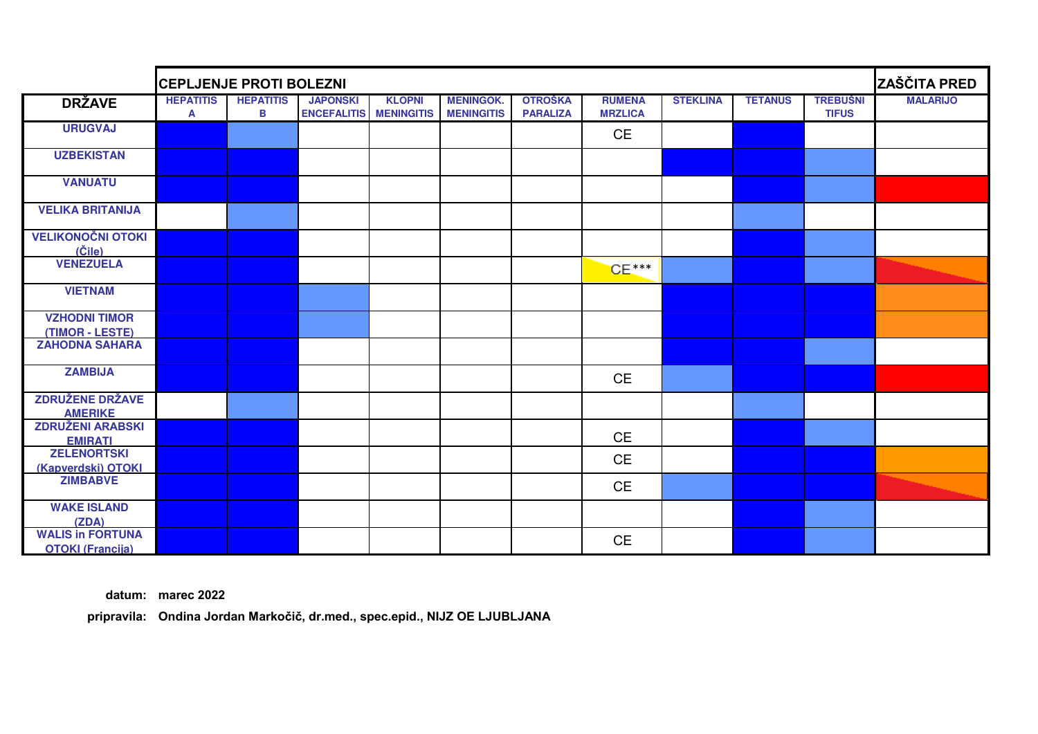|                                                    | <b>CEPLJENJE PROTI BOLEZNI</b> |                       | <b>ZAŠČITA PRED</b>                   |                                    |                                       |                                   |                                 |                 |                |                                 |                 |
|----------------------------------------------------|--------------------------------|-----------------------|---------------------------------------|------------------------------------|---------------------------------------|-----------------------------------|---------------------------------|-----------------|----------------|---------------------------------|-----------------|
| <b>DRŽAVE</b>                                      | <b>HEPATITIS</b><br>A          | <b>HEPATITIS</b><br>В | <b>JAPONSKI</b><br><b>ENCEFALITIS</b> | <b>KLOPNI</b><br><b>MENINGITIS</b> | <b>MENINGOK.</b><br><b>MENINGITIS</b> | <b>OTROŠKA</b><br><b>PARALIZA</b> | <b>RUMENA</b><br><b>MRZLICA</b> | <b>STEKLINA</b> | <b>TETANUS</b> | <b>TREBUŠNI</b><br><b>TIFUS</b> | <b>MALARIJO</b> |
| <b>URUGVAJ</b>                                     |                                |                       |                                       |                                    |                                       |                                   | <b>CE</b>                       |                 |                |                                 |                 |
| <b>UZBEKISTAN</b>                                  |                                |                       |                                       |                                    |                                       |                                   |                                 |                 |                |                                 |                 |
| <b>VANUATU</b>                                     |                                |                       |                                       |                                    |                                       |                                   |                                 |                 |                |                                 |                 |
| <b>VELIKA BRITANIJA</b>                            |                                |                       |                                       |                                    |                                       |                                   |                                 |                 |                |                                 |                 |
| <b>VELIKONOČNI OTOKI</b><br>$(\check{C}$ ile)      |                                |                       |                                       |                                    |                                       |                                   |                                 |                 |                |                                 |                 |
| <b>VENEZUELA</b>                                   |                                |                       |                                       |                                    |                                       |                                   | $CE***$                         |                 |                |                                 |                 |
| <b>VIETNAM</b>                                     |                                |                       |                                       |                                    |                                       |                                   |                                 |                 |                |                                 |                 |
| <b>VZHODNI TIMOR</b><br>(TIMOR - LESTE)            |                                |                       |                                       |                                    |                                       |                                   |                                 |                 |                |                                 |                 |
| <b>ZAHODNA SAHARA</b>                              |                                |                       |                                       |                                    |                                       |                                   |                                 |                 |                |                                 |                 |
| <b>ZAMBIJA</b>                                     |                                |                       |                                       |                                    |                                       |                                   | <b>CE</b>                       |                 |                |                                 |                 |
| <b>ZDRUŽENE DRŽAVE</b><br><b>AMERIKE</b>           |                                |                       |                                       |                                    |                                       |                                   |                                 |                 |                |                                 |                 |
| <b>ZDRUŽENI ARABSKI</b><br><b>EMIRATI</b>          |                                |                       |                                       |                                    |                                       |                                   | <b>CE</b>                       |                 |                |                                 |                 |
| <b>ZELENORTSKI</b><br>(Kapverdski) OTOKI           |                                |                       |                                       |                                    |                                       |                                   | <b>CE</b>                       |                 |                |                                 |                 |
| <b>ZIMBABVE</b>                                    |                                |                       |                                       |                                    |                                       |                                   | <b>CE</b>                       |                 |                |                                 |                 |
| <b>WAKE ISLAND</b><br>(ZDA)                        |                                |                       |                                       |                                    |                                       |                                   |                                 |                 |                |                                 |                 |
| <b>WALIS in FORTUNA</b><br><b>OTOKI (Francija)</b> |                                |                       |                                       |                                    |                                       |                                   | <b>CE</b>                       |                 |                |                                 |                 |

**datum: marec 2022**

**pripravila: Ondina Jordan Markočič, dr.med., spec.epid., NIJZ OE LJUBLJANA**